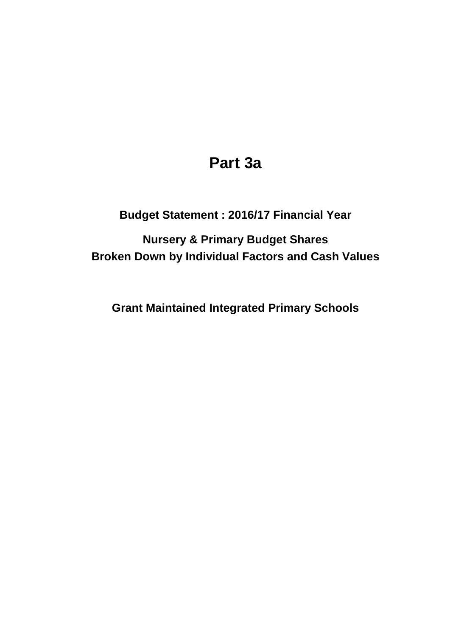## **Part 3a**

## **Budget Statement : 2016/17 Financial Year**

**Broken Down by Individual Factors and Cash Values Nursery & Primary Budget Shares**

**Grant Maintained Integrated Primary Schools**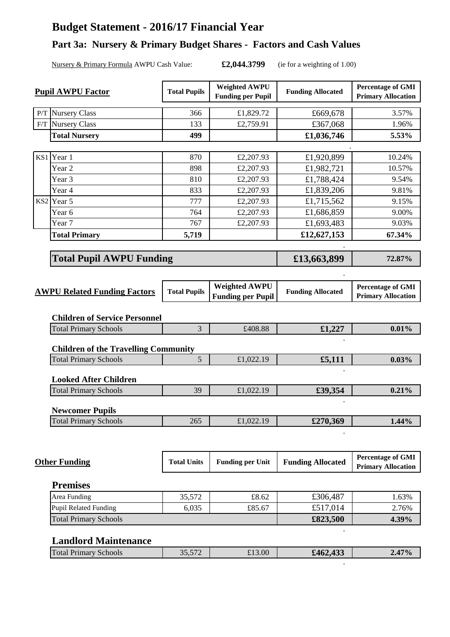## **Budget Statement - 2016/17 Financial Year**

## **Part 3a: Nursery & Primary Budget Shares - Factors and Cash Values**

Nursery & Primary Formula AWPU Cash Value: **£2,044.3799** (ie for a weighting of 1.00)

**.**

| <b>Pupil AWPU Factor</b> |                                             | <b>Total Pupils</b> | <b>Weighted AWPU</b><br><b>Funding per Pupil</b> | <b>Funding Allocated</b> | <b>Percentage of GMI</b><br><b>Primary Allocation</b> |
|--------------------------|---------------------------------------------|---------------------|--------------------------------------------------|--------------------------|-------------------------------------------------------|
|                          | P/T Nursery Class                           | 366                 | £1,829.72                                        | £669,678                 | 3.57%                                                 |
| F/T                      | <b>Nursery Class</b>                        | 133                 | £2,759.91                                        | £367,068                 | 1.96%                                                 |
|                          | <b>Total Nursery</b>                        | 499                 |                                                  | £1,036,746               | 5.53%                                                 |
|                          |                                             |                     |                                                  |                          |                                                       |
|                          | KS1 Year 1                                  | 870                 | £2,207.93                                        | £1,920,899               | 10.24%                                                |
|                          | Year <sub>2</sub>                           | 898                 | £2,207.93                                        | £1,982,721               | 10.57%                                                |
|                          | Year 3                                      | 810                 | £2,207.93                                        | £1,788,424               | 9.54%                                                 |
|                          | Year 4                                      | 833                 | £2,207.93                                        | £1,839,206               | 9.81%                                                 |
|                          | KS2 Year 5                                  | 777                 | £2,207.93                                        | £1,715,562               | 9.15%                                                 |
|                          | Year 6                                      | 764                 | £2,207.93                                        | £1,686,859               | 9.00%                                                 |
|                          | Year 7                                      | 767                 | £2,207.93                                        | £1,693,483               | 9.03%                                                 |
|                          | <b>Total Primary</b>                        | 5,719               |                                                  | £12,627,153              | 67.34%                                                |
|                          |                                             |                     |                                                  |                          |                                                       |
|                          | <b>Total Pupil AWPU Funding</b>             |                     |                                                  | £13,663,899              | 72.87%                                                |
|                          |                                             |                     |                                                  |                          |                                                       |
|                          | <b>AWPU Related Funding Factors</b>         | <b>Total Pupils</b> | <b>Weighted AWPU</b><br><b>Funding per Pupil</b> | <b>Funding Allocated</b> | <b>Percentage of GMI</b><br><b>Primary Allocation</b> |
|                          | <b>Children of Service Personnel</b>        |                     |                                                  |                          |                                                       |
|                          | <b>Total Primary Schools</b>                | 3                   | £408.88                                          | £1,227                   | 0.01%                                                 |
|                          | <b>Children of the Travelling Community</b> |                     |                                                  |                          |                                                       |
|                          | <b>Total Primary Schools</b>                | 5                   | £1,022.19                                        | £5,111                   | 0.03%                                                 |
|                          | <b>Looked After Children</b>                |                     |                                                  |                          |                                                       |
|                          | <b>Total Primary Schools</b>                | 39                  | £1,022.19                                        | £39,354                  | 0.21%                                                 |
|                          | <b>Newcomer Pupils</b>                      |                     |                                                  |                          |                                                       |
|                          | <b>Total Primary Schools</b>                | 265                 | £1,022.19                                        | £270,369                 | 1.44%                                                 |
|                          |                                             |                     |                                                  |                          |                                                       |
|                          | <b>Other Funding</b>                        | <b>Total Units</b>  | <b>Funding per Unit</b>                          | <b>Funding Allocated</b> | <b>Percentage of GMI</b><br><b>Primary Allocation</b> |
|                          | <b>Premises</b>                             |                     |                                                  |                          |                                                       |
|                          | Area Funding                                | 35,572              | £8.62                                            | £306,487                 | 1.63%                                                 |
|                          | <b>Pupil Related Funding</b>                | 6,035               | £85.67                                           | £517,014                 | 2.76%                                                 |
|                          | <b>Total Primary Schools</b>                |                     |                                                  | £823,500                 | 4.39%                                                 |
|                          | <b>Landlord Maintenance</b>                 |                     |                                                  |                          |                                                       |
|                          | <b>Total Primary Schools</b>                | 35,572              | £13.00                                           | £462,433                 | 2.47%                                                 |